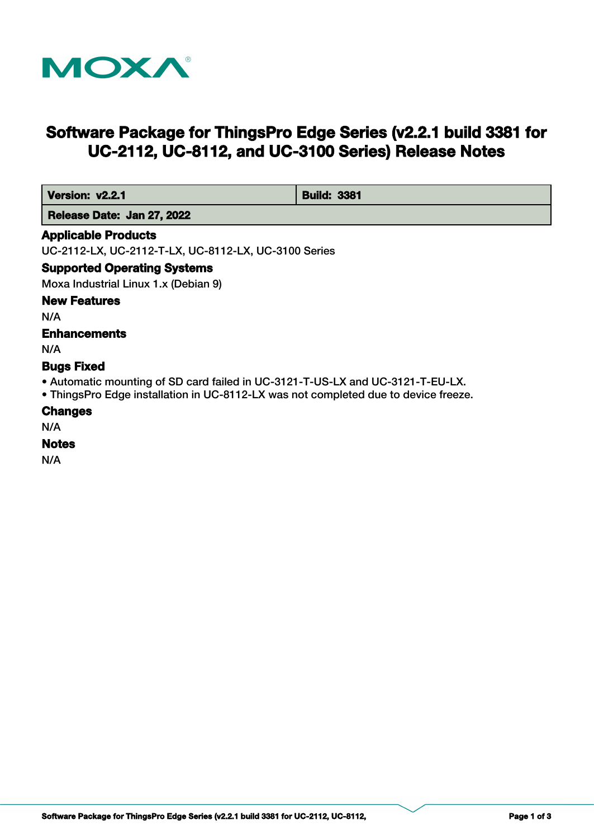

# **Software Package for ThingsPro Edge Series (v2.2.1 build 3381 for UC-2112, UC-8112, and UC-3100 Series) Release Notes**

| Version: v2.2.1            | <b>Build: 3381</b> |
|----------------------------|--------------------|
| Release Date: Jan 27, 2022 |                    |

#### **Applicable Products**

UC-2112-LX, UC-2112-T-LX, UC-8112-LX, UC-3100 Series

### **Supported Operating Systems**

Moxa Industrial Linux 1.x (Debian 9)

### **New Features**

N/A

### **Enhancements**

N/A

### **Bugs Fixed**

- Automatic mounting of SD card failed in UC-3121-T-US-LX and UC-3121-T-EU-LX.
- ThingsPro Edge installation in UC-8112-LX was not completed due to device freeze.

#### **Changes**

N/A

### **Notes**

N/A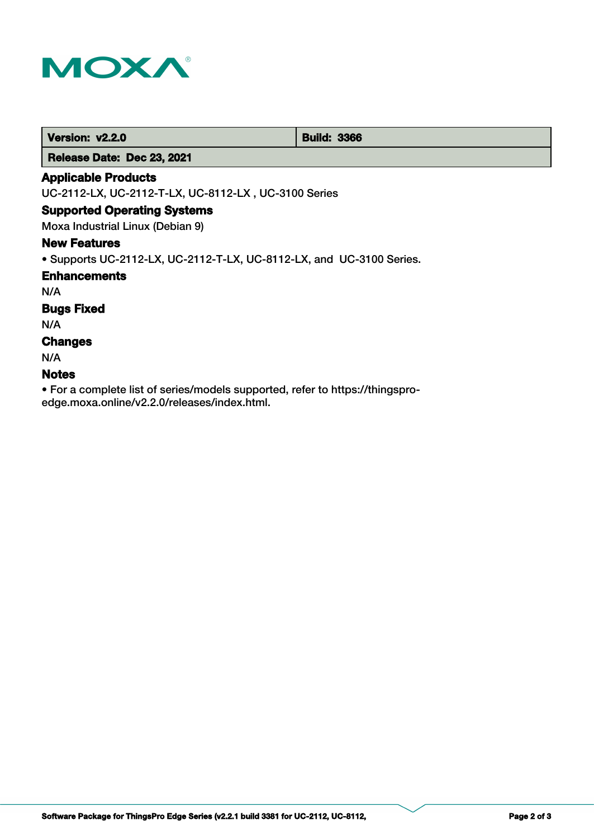

**Version: v2.2.0 Build: 3366** 

 **Release Date: Dec 23, 2021**

### **Applicable Products**

UC-2112-LX, UC-2112-T-LX, UC-8112-LX , UC-3100 Series

#### **Supported Operating Systems**

Moxa Industrial Linux (Debian 9)

#### **New Features**

• Supports UC-2112-LX, UC-2112-T-LX, UC-8112-LX, and UC-3100 Series.

#### **Enhancements**

N/A

### **Bugs Fixed**

N/A

### **Changes**

N/A

#### **Notes**

• For a complete list of series/models supported, refer to https://thingsproedge.moxa.online/v2.2.0/releases/index.html.